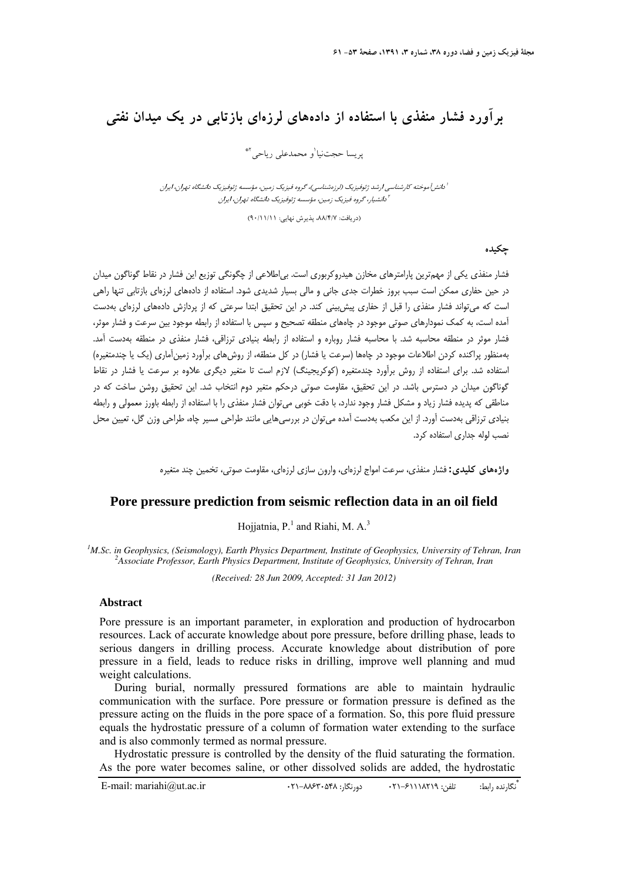## **برآورد فشار منفذي با استفاده از دادههاي لرزهاي بازتابي در يك ميدان نفتي**

ير يسا حجتنيا<sup>י</sup>و محمدعلي رياحي<sup>×</sup>\*

آمانش آموخته كارشناسي ارشد ژئوفيزيك (لرزهشناسي)، گروه فيزيك زمين، مؤسسه ژئوفيزيک دانشگاه تهران، ايران دانشيار، گروه فيزيك زمين، مؤسسه ژئوفيزيك دانشگاه تهران، ايران <sup>2</sup>

(دريافت: ٨٨/٤/٧، پذيرش نهايي: ٩٠/١١/١٦)

**چكيده** 

فشار منفذي يكي از مهمترين پارامترهاي مخازن هيدروكربوري است. بياطلاعي از چگونگي توزيع اين فشار در نقاط گوناگون ميدان در حين حفاري ممكن است سبب بروز خطرات جدي جاني و مالي بسيار شديدي شود. استفاده از دادههاي لرزهاي بازتابي تنها راهي است كه ميتواند فشار منفذي را قبل از حفاري پيشبيني كند. در اين تحقيق ابتدا سرعتي كه از پردازش دادههاي لرزهاي بهدست آمده است، به كمك نمودارهاي صوتي موجود در چاههاي منطقه تصحيح و سپس با استفاده از رابطه موجود بين سرعت و فشار موثر، فشار موثر در منطقه محاسبه شد. با محاسبه فشار روباره و استفاده از رابطه بنيادي ترزاقي، فشار منفذي در منطقه بهدست آمد. بهمنظور پراكنده كردن اطلاعات موجود در چاهها (سرعت يا فشار) در كل منطقه، از روشهاي برآورد زمينآماري (يك يا چندمتغيره) استفاده شد. براي استفاده از روش برآورد چندمتغيره (كوكريجينگ) لازم است تا متغير ديگري علاوه بر سرعت يا فشار در نقاط گوناگون ميدان در دسترس باشد. در اين تحقيق، مقاومت صوتي درحكم متغير دوم انتخاب شد. اين تحقيق روشن ساخت كه در مناطقي كه پديده فشار زياد و مشكل فشار وجود ندارد، با دقت خوبي ميتوان فشار منفذي را با استفاده از رابطه باورز معمولي و رابطه بنيادي ترزاقي بهدست آورد. از اين مكعب بهدست آمده ميتوان در بررسيهايي مانند طراحي مسير چاه، طراحي وزن گل، تعيين محل نصب لوله جداري استفاده كرد.

**واژههاي كليدي:** فشار منفذي، سرعت امواج لرزهاي، وارون سازي لرزهاي، مقاومت صوتي، تخمين چند متغيره

## **Pore pressure prediction from seismic reflection data in an oil field**

Hojjatnia,  $P<sup>1</sup>$  and Riahi, M. A.<sup>3</sup>

<sup>1</sup>M.Sc. in Geophysics, (Seismology), Earth Physics Department, Institute of Geophysics, University of Tehran, Iran <sup>2</sup> Associate Professor, Earth Physics Department, Institute of Geophysics, University of Tehran, Iran *Associate Professor, Earth Physics Department, Institute of Geophysics, University of Tehran, Iran* 

*(Received: 28 Jun 2009, Accepted: 31 Jan 2012)* 

## **Abstract**

Pore pressure is an important parameter, in exploration and production of hydrocarbon resources. Lack of accurate knowledge about pore pressure, before drilling phase, leads to serious dangers in drilling process. Accurate knowledge about distribution of pore pressure in a field, leads to reduce risks in drilling, improve well planning and mud weight calculations.

During burial, normally pressured formations are able to maintain hydraulic communication with the surface. Pore pressure or formation pressure is defined as the pressure acting on the fluids in the pore space of a formation. So, this pore fluid pressure equals the hydrostatic pressure of a column of formation water extending to the surface and is also commonly termed as normal pressure.

Hydrostatic pressure is controlled by the density of the fluid saturating the formation. As the pore water becomes saline, or other dissolved solids are added, the hydrostatic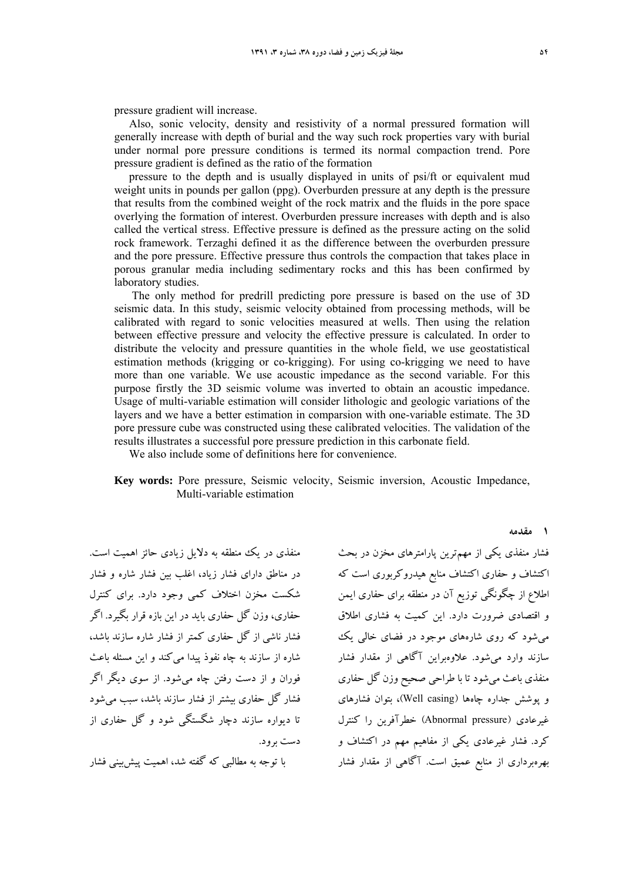pressure gradient will increase.

Also, sonic velocity, density and resistivity of a normal pressured formation will generally increase with depth of burial and the way such rock properties vary with burial under normal pore pressure conditions is termed its normal compaction trend. Pore pressure gradient is defined as the ratio of the formation

pressure to the depth and is usually displayed in units of psi/ft or equivalent mud weight units in pounds per gallon (ppg). Overburden pressure at any depth is the pressure that results from the combined weight of the rock matrix and the fluids in the pore space overlying the formation of interest. Overburden pressure increases with depth and is also called the vertical stress. Effective pressure is defined as the pressure acting on the solid rock framework. Terzaghi defined it as the difference between the overburden pressure and the pore pressure. Effective pressure thus controls the compaction that takes place in porous granular media including sedimentary rocks and this has been confirmed by laboratory studies.

 The only method for predrill predicting pore pressure is based on the use of 3D seismic data. In this study, seismic velocity obtained from processing methods, will be calibrated with regard to sonic velocities measured at wells. Then using the relation between effective pressure and velocity the effective pressure is calculated. In order to distribute the velocity and pressure quantities in the whole field, we use geostatistical estimation methods (krigging or co-krigging). For using co-krigging we need to have more than one variable. We use acoustic impedance as the second variable. For this purpose firstly the 3D seismic volume was inverted to obtain an acoustic impedance. Usage of multi-variable estimation will consider lithologic and geologic variations of the layers and we have a better estimation in comparsion with one-variable estimate. The 3D pore pressure cube was constructed using these calibrated velocities. The validation of the results illustrates a successful pore pressure prediction in this carbonate field.

We also include some of definitions here for convenience.

**Key words:** Pore pressure, Seismic velocity, Seismic inversion, Acoustic Impedance, Multi-variable estimation

منفذي در يك منطقه به دلايل زيادي حائز اهميت است. در مناطق داراي فشار زياد، اغلب بين فشار شاره و فشار شكست مخزن اختلاف كمي وجود دارد. براي كنترل حفاري، وزن گل حفاري بايد در اين بازه قرار بگيرد. اگر فشار ناشي از گل حفاري كمتر از فشار شاره سازند باشد، شاره از سازند به چاه نفوذ پيدا ميكند و اين مسئله باعث فوران و از دست رفتن چاه ميشود. از سوي ديگر اگر فشار گل حفاري بيشتر از فشار سازند باشد، سبب ميشود تا ديواره سازند دچار شگستگي شود و گل حفاري از دست برود.

با توجه به مطالبي كه گفته شد، اهميت پيشبيني فشار

فشار منفذي يكي از مهمترين پارامترهاي مخزن در بحث اكتشاف و حفاري اكتشاف منابع هيدروكربوري است كه اطلاع از چگونگي توزيع آن در منطقه براي حفاري ايمن و اقتصادي ضرورت دارد. اين كميت به فشاري اطلاق ميشود كه روي شارههاي موجود در فضاي خالي يك سازند وارد ميشود. علاوهبراين آگاهي از مقدار فشار منفذي باعث ميشود تا با طراحي صحيح وزن گل حفاري و پوشش جداره چاهها (Well casing)، بتوان فشارهاي غيرعادي (pressure Abnormal (خطرآفرين را كنترل كرد. فشار غيرعادي يكي از مفاهيم مهم در اكتشاف و بهرهبرداري از منابع عميق است. آگاهي از مقدار فشار

**1 مقدمه**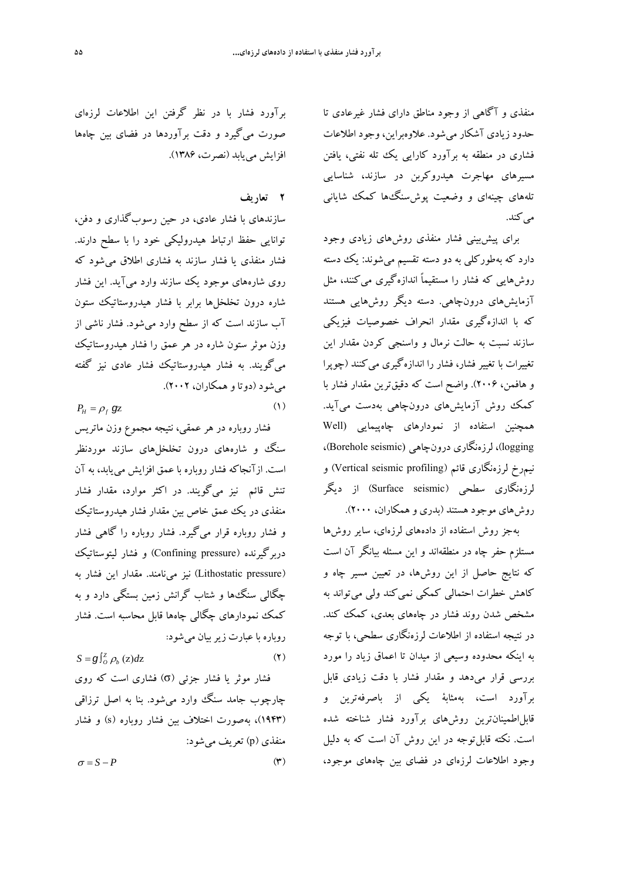منفذي و آگاهي از وجود مناطق داراي فشار غيرعادي تا حدود زيادي آشكار ميشود. علاوهبراين، وجود اطلاعات فشاري در منطقه به برآورد كارايي يك تله نفتي، يافتن مسيرهاي مهاجرت هيدروكربن در سازند، شناسايي تلههاي چينهاي و وضعيت پوشسنگها كمك شاياني مي كند.

براي پيشبيني فشار منفذي روشهاي زيادي وجود دارد كه بهطوركلي به دو دسته تقسيم ميشوند: يك دسته روشهايي كه فشار را مستقيماً اندازهگيري ميكنند، مثل آزمايشهاي درونچاهي. دسته ديگر روشهايي هستند كه با اندازهگيري مقدار انحراف خصوصيات فيزيكي سازند نسبت به حالت نرمال و واسنجي كردن مقدار اين تغييرات با تغيير فشار، فشار را اندازهگيري ميكنند (چوپرا و هافمن، 2006). واضح است كه دقيقترين مقدار فشار با كمك روش آزمايشهاي درونچاهي بهدست ميآيد. همچنين استفاده از نمودارهاي چاهپيمايي (Well logging، لرزهنگاري درونچاهي (Borehole seismic)، نيمرخ لرزهنگاري قائم (Vertical seismic profiling) و لرزهنگاري سطحي (Surface seismic) از ديگر روشهاي موجود هستند (بدري و همكاران، 2000).

بهجز روش استفاده از دادههاي لرزهاي، ساير روشها مستلزم حفر چاه در منطقهاند و اين مسئله بيانگر آن است كه نتايج حاصل از اين روشها، در تعيين مسير چاه و كاهش خطرات احتمالي كمكي نمي كند ولي مي تواند به مشخص شدن روند فشار در چاههاي بعدي، كمك كند. در نتيجه استفاده از اطلاعات لرزهنگاري سطحي، با توجه به اينكه محدوده وسيعي از ميدان تا اعماق زياد را مورد بررسي قرار ميدهد و مقدار فشار با دقت زيادي قابل برآورد است، بهمثابة يكي از باصرفهترين و قابلاطمينانترين روشهاي برآورد فشار شناخته شده است. نكته قابلتوجه در اين روش آن است كه به دليل وجود اطلاعات لرزهاي در فضاي بين چاههاي موجود،

برآورد فشار با در نظر گرفتن اين اطلاعات لرزهاي صورت ميگيرد و دقت برآوردها در فضاي بين چاهها افزايش مييابد (نصرت، 1386).

## **2 تعاريف**

سازندهاي با فشار عادي، در حين رسوبگذاري و دفن، توانايي حفظ ارتباط هيدروليكي خود را با سطح دارند. فشار منفذي يا فشار سازند به فشاري اطلاق ميشود كه روي شارههاي موجود يك سازند وارد ميآيد. اين فشار شاره درون تخلخلها برابر با فشار هيدروستاتيك ستون آب سازند است كه از سطح وارد ميشود. فشار ناشي از وزن موثر ستون شاره در هر عمق را فشار هيدروستاتيك ميگويند. به فشار هيدروستاتيك فشار عادي نيز گفته ميشود (دوتا و همكاران، 2002).

 $P_H = \rho_f g_Z$  (1)

فشار روباره در هر عمقي، نتيجه مجموع وزن ماتريس سنگ و شارههاي درون تخلخلهاي سازند موردنظر است. ازآنجاكه فشار روباره با عمق افزايش مييابد، به آن تنش قائم نيز ميگويند. در اكثر موارد، مقدار فشار منفذي در يك عمق خاص بين مقدار فشار هيدروستاتيك و فشار روباره قرار ميگيرد. فشار روباره را گاهي فشار دربرگيرنده (pressure Confining (و فشار ليتوستاتيك (pressure Lithostatic (نيز مينامند. مقدار اين فشار به چگالي سنگها و شتاب گرانش زمين بستگي دارد و به كمك نمودارهاي چگالي چاهها قابل محاسبه است. فشار روباره با عبارت زيربيان ميشود:

 $S = g \int_{o}^{z} \rho_{b} (z) dz$  (**1**) فشار موثر يا فشار جزئي (σ) فشاري است كه روي چارچوب جامد سنگ وارد ميشود. بنا به اصل ترزاقي (1943)، بهصورت اختلاف بين فشار روباره (s (و فشار منفذي (p (تعريف ميشود:  $\sigma = S - P$  (**4)**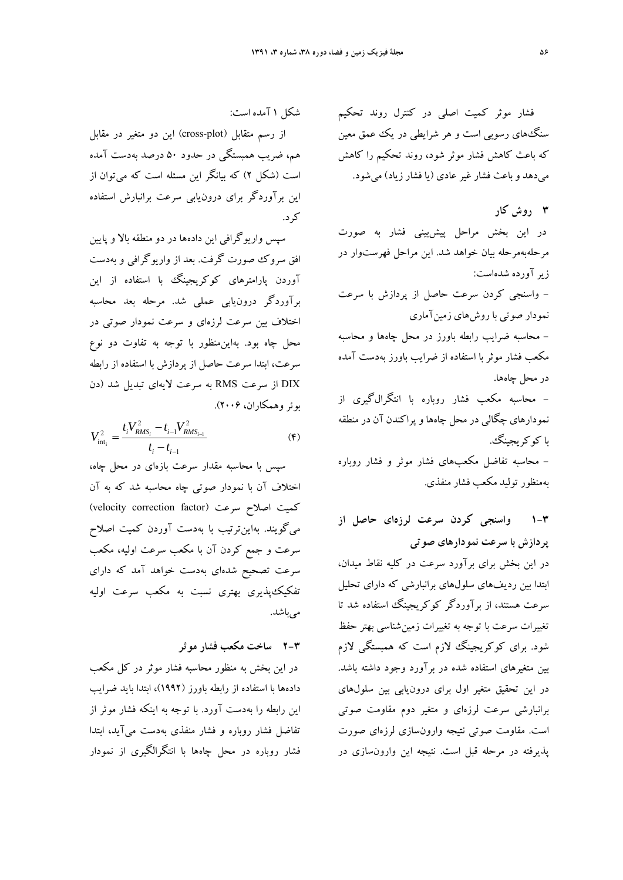فشار موثر كميت اصلي در كنترل روند تحكيم سنگهاي رسوبي است و هر شرايطي در يك عمق معين كه باعث كاهش فشار موثر شود، روند تحكيم را كاهش ميدهد و باعث فشار غيرعادي (يا فشار زياد) ميشود.

**3 روش كار**  در اين بخش مراحل پيشبيني فشار به صورت مرحلهبهمرحله بيان خواهد شد. اين مراحل فهرستوار در زيرآورده شدهاست: - واسنجي كردن سرعت حاصل از پردازش با سرعت نمودار صوتي با روشهاي زمينآماري - محاسبه ضرايب رابطه باورز در محل چاهها و محاسبه مكعب فشار موثر با استفاده از ضرايب باورز بهدست آمده در محل چاهها. - محاسبه مكعب فشار روباره با انتگرالگيري از نمودارهاي چگالي در محل چاهها و پراكندن آن در منطقه با كوكريجينگ. - محاسبه تفاضل مكعبهاي فشار موثر و فشار روباره بهمنظور توليد مكعب فشار منفذي.

**1-3 واسنجي كردن سرعت لرزهاي حاصل از پردازش با سرعت نمودارهاي صوتي**  در اين بخش براي برآورد سرعت در كليه نقاط ميدان، ابتدا بين رديفهاي سلولهاي برانبارشي كه داراي تحليل سرعت هستند، از برآوردگر كوكريجينگ استفاده شد تا تغييرات سرعت با توجه به تغييرات زمينشناسي بهتر حفظ شود. براي كوكريجينگ لازم است كه همبستگي لازم بين متغيرهاي استفاده شده در برآورد وجود داشته باشد. در اين تحقيق متغير اول براي درونيابي بين سلولهاي برانبارشي سرعت لرزهاي و متغير دوم مقاومت صوتي است. مقاومت صوتي نتيجه وارونسازي لرزهاي صورت پذيرفته در مرحله قبل است. نتيجه اين وارونسازي در

شكل 1 آمده است:

از رسم متقابل (plot-cross (اين دو متغير در مقابل هم، ضريب همبستگي در حدود 50 درصد بهدست آمده است (شكل 2) كه بيانگر اين مسئله است كه ميتوان از اين برآوردگر براي درونيابي سرعت برانبارش استفاده كرد.

سپس واريوگرافي اين دادهها در دو منطقه بالا و پايين افق سروك صورت گرفت. بعد از واريوگرافي و بهدست آوردن پارامترهاي كوكريجينگ با استفاده از اين برآوردگر درونيابي عملي شد. مرحله بعد محاسبه اختلاف بين سرعت لرزهاي و سرعت نمودار صوتي در محل چاه بود. بهاينمنظور با توجه به تفاوت دو نوع سرعت، ابتدا سرعت حاصل از پردازش با استفاده از رابطه DIX از سرعت RMS به سرعت لايهاي تبديل شد (دن بوئر وهمكاران، ۲۰۰۶).

$$
V_{\text{int}_{i}}^{2} = \frac{t_{i}V_{RMS_{i}}^{2} - t_{i-1}V_{RMS_{i-1}}^{2}}{t_{i} - t_{i-1}}
$$
(\*)

سپس با محاسبه مقدار سرعت بازهاي در محل چاه، اختلاف آن با نمودار صوتي چاه محاسبه شد كه به آن كميت اصلاح سرعت (velocity correction factor) ميگويند. بهاينترتيب با بهدست آوردن كميت اصلاح سرعت و جمع كردن آن با مكعب سرعت اوليه، مكعب سرعت تصحيح شدهاي بهدست خواهد آمد كه داراي تفكيكپذيري بهتري نسبت به مكعب سرعت اوليه مه باشد.

**2-3 ساخت مكعب فشار موثر**

در اين بخش به منظور محاسبه فشار موثر در كل مكعب دادهها با استفاده از رابطه باورز (1992)، ابتدا بايد ضرايب اين رابطه را بهدست آورد. با توجه به اينكه فشار موثر از تفاضل فشار روباره و فشار منفذي بهدست ميآيد، ابتدا فشار روباره در محل چاهها با انتگرالگيري از نمودار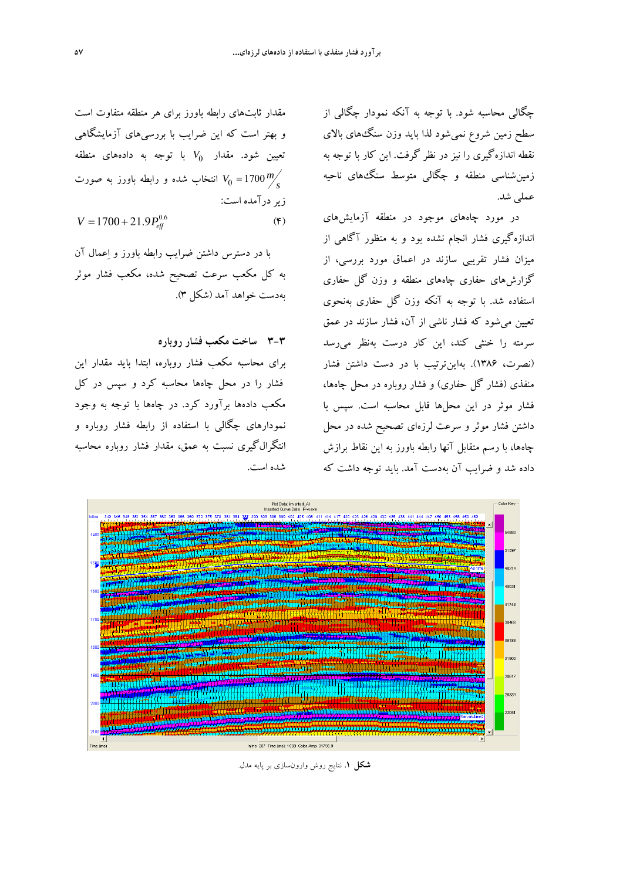چگالي محاسبه شود. با توجه به آنكه نمودار چگالي از سطح زمين شروع نميشود لذا بايد وزن سنگهاي بالاي نقطه اندازهگيري را نيز در نظر گرفت. اين كار با توجه به زمينشناسي منطقه و چگالي متوسط سنگهاي ناحيه عملي شد.

در مورد چاههاي موجود در منطقه آزمايشهاي اندازهگيري فشار انجام نشده بود و به منظور آگاهي از ميزان فشار تقريبي سازند در اعماق مورد بررسي، از گزارشهاي حفاري چاههاي منطقه و وزن گل حفاري استفاده شد. با توجه به آنكه وزن گل حفاري بهنحوي تعيين ميشود كه فشار ناشي از آن، فشار سازند در عمق سرمته را خنثي كند، اين كار درست بهنظر ميرسد (نصرت، 1386). بهاينترتيب با در دست داشتن فشار منفذي (فشار گل حفاري) و فشار روباره در محل چاهها، فشار موثر در اين محلها قابل محاسبه است. سپس با داشتن فشار موثر و سرعت لرزهاي تصحيح شده در محل چاهها، با رسم متقابل آنها رابطه باورز به اين نقاط برازش داده شد و ضرايب آن بهدست آمد. بايد توجه داشت كه

مقدار ثابتهاي رابطه باورز براي هر منطقه متفاوت است و بهتر است كه اين ضرايب با بررسيهاي آزمايشگاهي *V* با توجه به دادههاي منطقه <sup>0</sup> تعيين شود. مقدار <sup>0</sup>*<sup>V</sup>* <sup>1700</sup> *<sup>m</sup>* انتخاب شده و رابطه باورز به صورت *s* زير درآمده است:

$$
V = 1700 + 21.9 P_{\text{eff}}^{0.6} \tag{\text{F}}
$$

با در دسترس داشتن ضرايب رابطه باورز و اعمال آن به كل مكعب سرعت تصحيح شده، مكعب فشار موثر بهدست خواهد آمد (شكل 3).

**3-3 ساخت مكعب فشار روباره** 

براي محاسبه مكعب فشار روباره، ابتدا بايد مقدار اين فشار را در محل چاهها محاسبه كرد و سپس در كل مكعب دادهها برآورد كرد. در چاهها با توجه به وجود نمودارهاي چگالي با استفاده از رابطه فشار روباره و انتگرالگيري نسبت به عمق، مقدار فشار روباره محاسبه شده است.



**شكل .1** نتايج روش وارونسازي بر پايه مدل.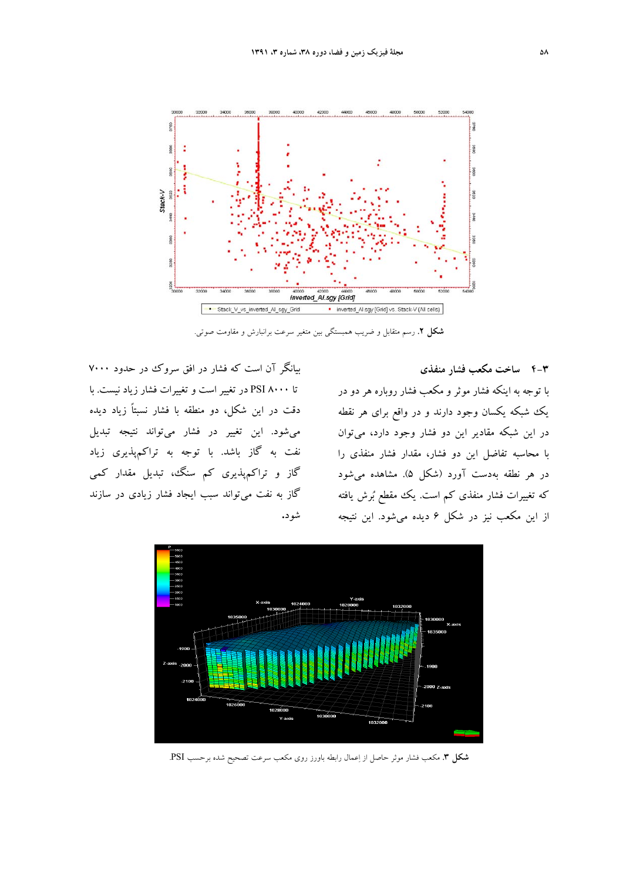

**شكل .2** رسم متقابل و ضريب همبستگي بين متغير سرعت برانبارش و مقاومت صوتي.

**4-3 ساخت مكعب فشار منفذي**  با توجه به اينكه فشار موثر و مكعب فشار روباره هر دو در يك شبكه يكسان وجود دارند و در واقع براي هر نقطه در اين شبكه مقادير اين دو فشار وجود دارد، ميتوان با محاسبه تفاضل اين دو فشار، مقدار فشار منفذي را در هر نطقه بهدست آورد (شكل 5). مشاهده ميشود كه تغييرات فشار منفذي كم است. يك مقطع برش يافته از اين مكعب نيز در شكل 6 ديده ميشود. اين نتيجه

بيانگر آن است كه فشار در افق سروك در حدود 7000 تا 8000 PSI در تغيير است و تغييرات فشار زياد نيست. با دقت در اين شكل، دو منطقه با فشار نسبتاً زياد ديده ميشود. اين تغيير در فشار ميتواند نتيجه تبديل نفت به گاز باشد. با توجه به تراكمپذيري زياد گاز و تراكمپذيري كم سنگ، تبديل مقدار كمي گاز به نفت ميتواند سبب ايجاد فشار زيادي در سازند شود**.** 



**شكل .3** مكعب فشار موثر حاصل از اعمال رابطه باورز روي مكعب سرعت تصحيح شده برحسب PSI.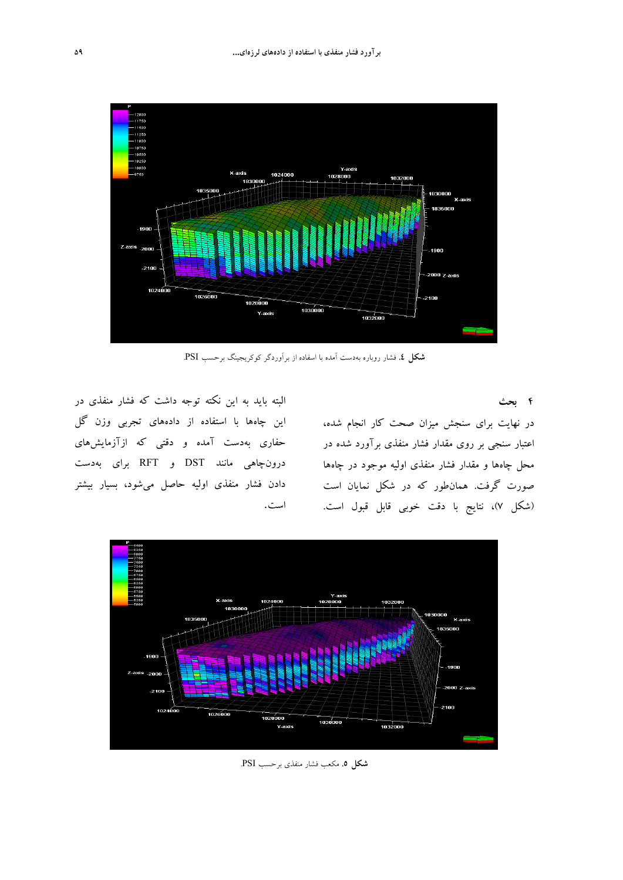

**شكل .4** فشار روباره بهدست آمده با اسفاده از برآوردگر كوكريجينگ برحسب PSI.

**4 بحث** 

در نهايت براي سنجش ميزان صحت كار انجام شده، اعتبار سنجي بر روي مقدار فشار منفذي برآورد شده در محل چاهها و مقدار فشار منفذي اوليه موجود در چاهها صورت گرفت. همانطور كه در شكل نمايان است (شكل 7)، نتايج با دقت خوبي قابل قبول است.

البته بايد به اين نكته توجه داشت كه فشار منفذي در اين چاهها با استفاده از دادههاي تجربي وزن گل حفاري بهدست آمده و دقتي كه ازآزمايشهاي درونچاهي مانند DST و RFT براي بهدست دادن فشار منفذي اوليه حاصل ميشود، بسيار بيشتر است.



**شكل .5** مكعب فشار منفذي برحسب PSI.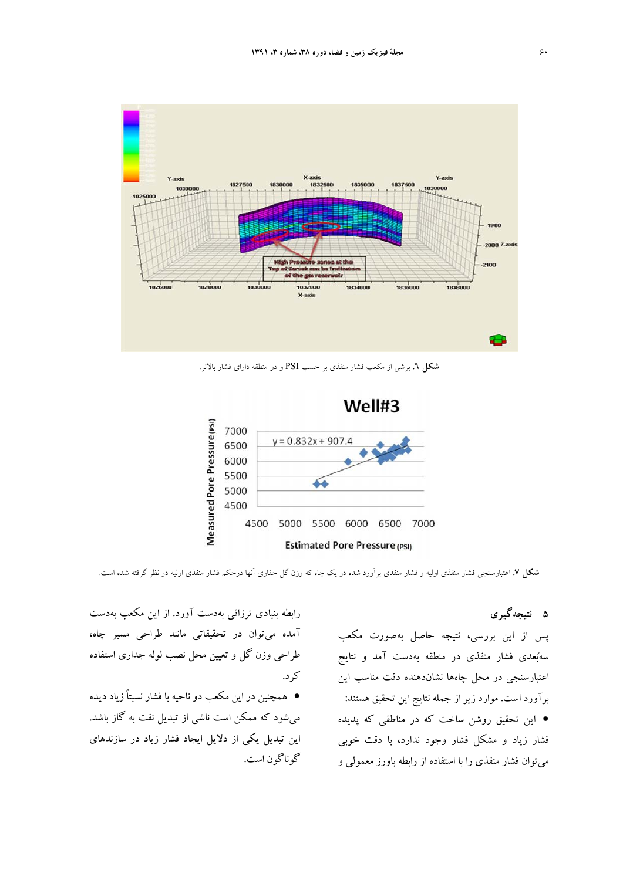

**شكل .6** برشي از مكعب فشار منفذي بر حسب PSI و دو منطقه داراي فشار بالاتر.



**شكل .7** اعتبارسنجي فشار منفذي اوليه و فشار منفذي برآورد شده در يك چاه كه وزن گل حفاري آنها درحكم فشار منفذي اوليه در نظر گرفته شده است.

**5 نتيجهگيري**  پس از اين بررسي، نتيجه حاصل بهصورت مكعب سهبعدي فشار منفذي در منطقه بهدست آمد و نتايج اعتبارسنجي در محل چاهها نشاندهنده دقت مناسب اين برآورد است. موارد زير از جمله نتايج اين تحقيق هستند: اين تحقيق روشن ساخت كه در مناطقي كه پديده فشار زياد و مشكل فشار وجود ندارد، با دقت خوبي ميتوان فشار منفذي را با استفاده از رابطه باورز معمولي و

آمده ميتوان در تحقيقاتي مانند طراحي مسير چاه، طراحي وزن گل و تعيين محل نصب لوله جداري استفاده كرد. همچنين در اين مكعب دو ناحيه با فشار نسبتاً زياد ديده ميشود كه ممكن است ناشي از تبديل نفت به گاز باشد. اين تبديل يكي از دلايل ايجاد فشار زياد در سازندهاي گوناگون است.

رابطه بنيادي ترزاقي بهدست آورد. از اين مكعب بهدست